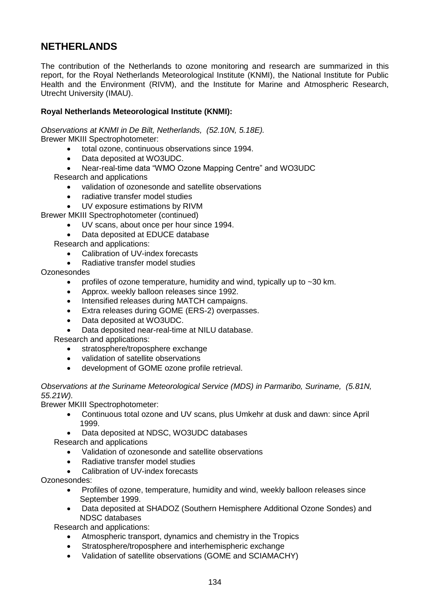# **NETHERLANDS**

The contribution of the Netherlands to ozone monitoring and research are summarized in this report, for the Royal Netherlands Meteorological Institute (KNMI), the National Institute for Public Health and the Environment (RIVM), and the Institute for Marine and Atmospheric Research, Utrecht University (IMAU).

# **Royal Netherlands Meteorological Institute (KNMI):**

*Observations at KNMI in De Bilt, Netherlands, (52.10N, 5.18E).* Brewer MKIII Spectrophotometer:

- total ozone, continuous observations since 1994.
- Data deposited at WO3UDC.
- Near-real-time data "WMO Ozone Mapping Centre" and WO3UDC

Research and applications

- validation of ozonesonde and satellite observations
- radiative transfer model studies
- UV exposure estimations by RIVM

Brewer MKIII Spectrophotometer (continued)

- UV scans, about once per hour since 1994.
	- Data deposited at EDUCE database

Research and applications:

- Calibration of UV-index forecasts
- Radiative transfer model studies

**Ozonesondes** 

- profiles of ozone temperature, humidity and wind, typically up to  $\sim$  30 km.
- Approx. weekly balloon releases since 1992.
- Intensified releases during MATCH campaigns.
- Extra releases during GOME (ERS-2) overpasses.
- Data deposited at WO3UDC.
- Data deposited near-real-time at NILU database.

Research and applications:

- stratosphere/troposphere exchange
- validation of satellite observations
- development of GOME ozone profile retrieval.

*Observations at the Suriname Meteorological Service (MDS) in Parmaribo, Suriname, (5.81N, 55.21W).*

Brewer MKIII Spectrophotometer:

- Continuous total ozone and UV scans, plus Umkehr at dusk and dawn: since April 1999.
- Data deposited at NDSC, WO3UDC databases

Research and applications

- Validation of ozonesonde and satellite observations
- Radiative transfer model studies
- Calibration of UV-index forecasts

Ozonesondes:

- Profiles of ozone, temperature, humidity and wind, weekly balloon releases since September 1999.
- Data deposited at SHADOZ (Southern Hemisphere Additional Ozone Sondes) and NDSC databases

Research and applications:

- Atmospheric transport, dynamics and chemistry in the Tropics
- Stratosphere/troposphere and interhemispheric exchange
- Validation of satellite observations (GOME and SCIAMACHY)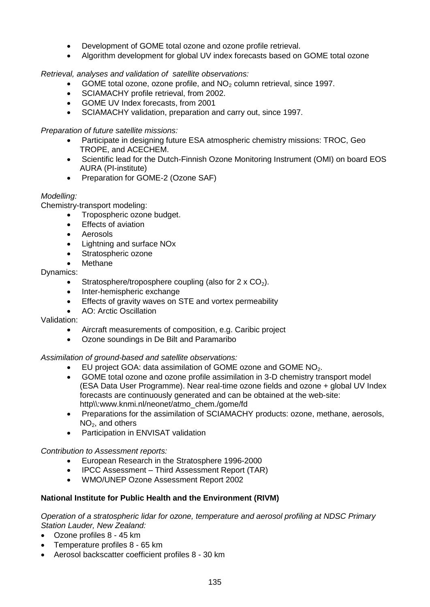- Development of GOME total ozone and ozone profile retrieval.
- Algorithm development for global UV index forecasts based on GOME total ozone

*Retrieval, analyses and validation of satellite observations:*

- GOME total ozone, ozone profile, and  $NO<sub>2</sub>$  column retrieval, since 1997.
- SCIAMACHY profile retrieval, from 2002.
- GOME UV Index forecasts, from 2001
- SCIAMACHY validation, preparation and carry out, since 1997.

*Preparation of future satellite missions:*

- Participate in designing future ESA atmospheric chemistry missions: TROC, Geo TROPE, and ACECHEM.
- Scientific lead for the Dutch-Finnish Ozone Monitoring Instrument (OMI) on board EOS AURA (PI-institute)
- Preparation for GOME-2 (Ozone SAF)

# *Modelling:*

Chemistry-transport modeling:

- Tropospheric ozone budget.
- Effects of aviation
- Aerosols
- Lightning and surface NOx
- Stratospheric ozone
- Methane

## Dynamics:

- Stratosphere/troposphere coupling (also for  $2 \times CO<sub>2</sub>$ ).
- Inter-hemispheric exchange
- Effects of gravity waves on STE and vortex permeability
- AO: Arctic Oscillation

## Validation:

- Aircraft measurements of composition, e.g. Caribic project
- Ozone soundings in De Bilt and Paramaribo

*Assimilation of ground-based and satellite observations:*

- EU project GOA: data assimilation of GOME ozone and GOME NO<sub>2</sub>.
- GOME total ozone and ozone profile assimilation in 3-D chemistry transport model (ESA Data User Programme). Near real-time ozone fields and ozone + global UV Index forecasts are continuously generated and can be obtained at the web-site: http\\:www.knmi.nl/neonet/atmo\_chem./gome/fd
- Preparations for the assimilation of SCIAMACHY products: ozone, methane, aerosols,  $NO<sub>2</sub>$ , and others
- Participation in ENVISAT validation

*Contribution to Assessment reports:*

- European Research in the Stratosphere 1996-2000
- IPCC Assessment Third Assessment Report (TAR)
- WMO/UNEP Ozone Assessment Report 2002

# **National Institute for Public Health and the Environment (RIVM)**

*Operation of a stratospheric lidar for ozone, temperature and aerosol profiling at NDSC Primary Station Lauder, New Zealand:*

- Ozone profiles 8 45 km
- Temperature profiles 8 65 km
- Aerosol backscatter coefficient profiles 8 30 km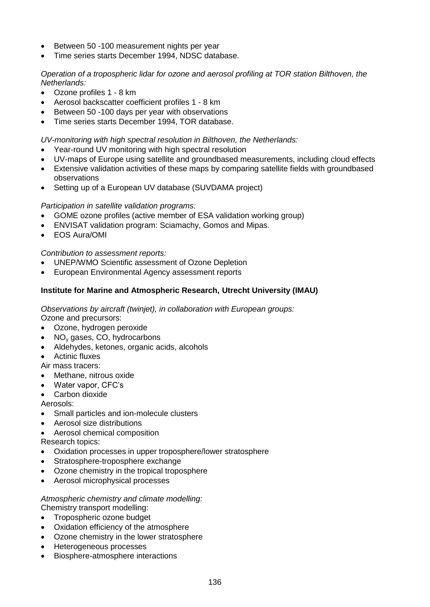- Between 50 -100 measurement nights per year
- Time series starts December 1994, NDSC database.

## *Operation of a tropospheric lidar for ozone and aerosol profiling at TOR station Bilthoven, the Netherlands:*

- Ozone profiles 1 8 km
- Aerosol backscatter coefficient profiles 1 8 km
- Between 50 -100 days per year with observations
- Time series starts December 1994, TOR database.

*UV-monitoring with high spectral resolution in Bilthoven, the Netherlands:*

- Year-round UV monitoring with high spectral resolution
- UV-maps of Europe using satellite and groundbased measurements, including cloud effects
- Extensive validation activities of these maps by comparing satellite fields with groundbased observations
- Setting up of a European UV database (SUVDAMA project)

#### *Participation in satellite validation programs:*

- GOME ozone profiles (active member of ESA validation working group)
- ENVISAT validation program: Sciamachy, Gomos and Mipas.
- EOS Aura/OMI

*Contribution to assessment reports:*

- UNEP/WMO Scientific assessment of Ozone Depletion
- European Environmental Agency assessment reports

#### **Institute for Marine and Atmospheric Research, Utrecht University (IMAU)**

*Observations by aircraft (twinjet), in collaboration with European groups:* Ozone and precursors:

- Ozone, hydrogen peroxide
- $\bullet$  NO<sub>v</sub> gases, CO, hydrocarbons
- Aldehydes, ketones, organic acids, alcohols
- Actinic fluxes
- Air mass tracers:
- Methane, nitrous oxide
- Water vapor, CFC's
- Carbon dioxide

Aerosols:

- Small particles and ion-molecule clusters
- Aerosol size distributions
- Aerosol chemical composition
- Research topics:
- Oxidation processes in upper troposphere/lower stratosphere
- Stratosphere-troposphere exchange
- Ozone chemistry in the tropical troposphere
- Aerosol microphysical processes

#### *Atmospheric chemistry and climate modelling:* Chemistry transport modelling:

- Tropospheric ozone budget
- Oxidation efficiency of the atmosphere
- Ozone chemistry in the lower stratosphere
- Heterogeneous processes
- Biosphere-atmosphere interactions